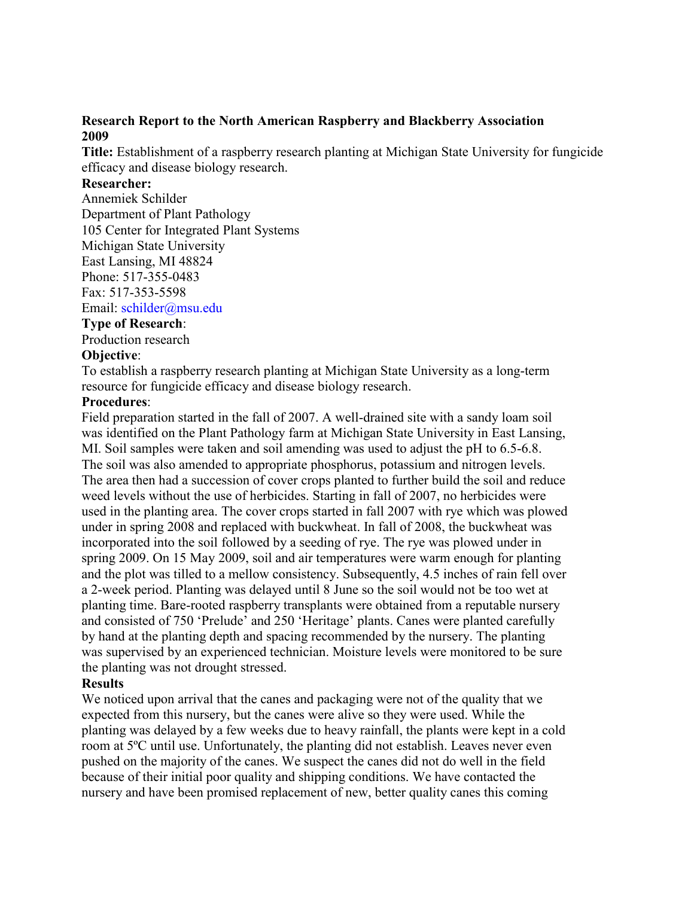### **Research Report to the North American Raspberry and Blackberry Association 2009**

**Title:** Establishment of a raspberry research planting at Michigan State University for fungicide efficacy and disease biology research.

# **Researcher:**

Annemiek Schilder Department of Plant Pathology 105 Center for Integrated Plant Systems Michigan State University East Lansing, MI 48824 Phone: 517-355-0483 Fax: 517-353-5598 Email: schilder@msu.edu

### **Type of Research**:

Production research

### **Objective**:

To establish a raspberry research planting at Michigan State University as a long-term resource for fungicide efficacy and disease biology research.

### **Procedures**:

Field preparation started in the fall of 2007. A well-drained site with a sandy loam soil was identified on the Plant Pathology farm at Michigan State University in East Lansing, MI. Soil samples were taken and soil amending was used to adjust the pH to 6.5-6.8. The soil was also amended to appropriate phosphorus, potassium and nitrogen levels. The area then had a succession of cover crops planted to further build the soil and reduce weed levels without the use of herbicides. Starting in fall of 2007, no herbicides were used in the planting area. The cover crops started in fall 2007 with rye which was plowed under in spring 2008 and replaced with buckwheat. In fall of 2008, the buckwheat was incorporated into the soil followed by a seeding of rye. The rye was plowed under in spring 2009. On 15 May 2009, soil and air temperatures were warm enough for planting and the plot was tilled to a mellow consistency. Subsequently, 4.5 inches of rain fell over a 2-week period. Planting was delayed until 8 June so the soil would not be too wet at planting time. Bare-rooted raspberry transplants were obtained from a reputable nursery and consisted of 750 'Prelude' and 250 'Heritage' plants. Canes were planted carefully by hand at the planting depth and spacing recommended by the nursery. The planting was supervised by an experienced technician. Moisture levels were monitored to be sure the planting was not drought stressed.

### **Results**

We noticed upon arrival that the canes and packaging were not of the quality that we expected from this nursery, but the canes were alive so they were used. While the planting was delayed by a few weeks due to heavy rainfall, the plants were kept in a cold room at 5ºC until use. Unfortunately, the planting did not establish. Leaves never even pushed on the majority of the canes. We suspect the canes did not do well in the field because of their initial poor quality and shipping conditions. We have contacted the nursery and have been promised replacement of new, better quality canes this coming